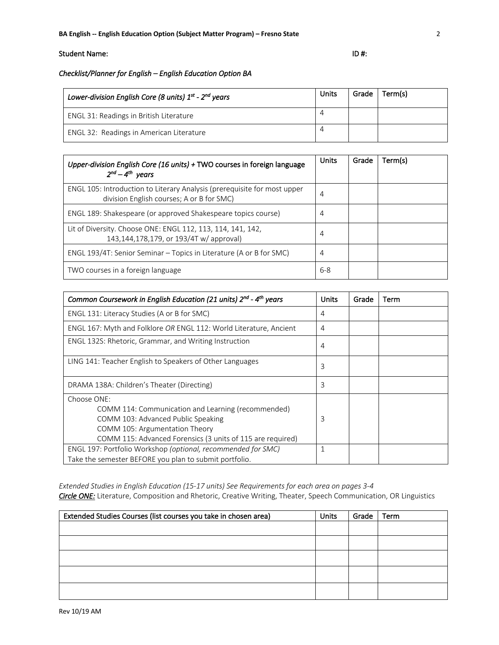# Student Name: ID #:

# *Checklist/Planner for English – English Education Option BA*

| Lower-division English Core (8 units) $1^{st}$ - $2^{nd}$ years | Units | Grade | Term(s) |
|-----------------------------------------------------------------|-------|-------|---------|
| ENGL 31: Readings in British Literature                         | 4     |       |         |
| ENGL 32: Readings in American Literature                        | 4     |       |         |

| Upper-division English Core (16 units) + TWO courses in foreign language<br>$2^{nd}-4^{th}$ years                     | <b>Units</b> | Grade | Term(s) |
|-----------------------------------------------------------------------------------------------------------------------|--------------|-------|---------|
| ENGL 105: Introduction to Literary Analysis (prerequisite for most upper<br>division English courses; A or B for SMC) | 4            |       |         |
| ENGL 189: Shakespeare (or approved Shakespeare topics course)                                                         | 4            |       |         |
| Lit of Diversity. Choose ONE: ENGL 112, 113, 114, 141, 142,<br>143,144,178,179, or 193/4T w/ approval)                | 4            |       |         |
| ENGL 193/4T: Senior Seminar - Topics in Literature (A or B for SMC)                                                   | 4            |       |         |
| TWO courses in a foreign language                                                                                     | $6 - 8$      |       |         |

| Common Coursework in English Education (21 units) 2nd - 4th years                                                                                                                                       | Units | Grade | Term |
|---------------------------------------------------------------------------------------------------------------------------------------------------------------------------------------------------------|-------|-------|------|
| ENGL 131: Literacy Studies (A or B for SMC)                                                                                                                                                             | 4     |       |      |
| ENGL 167: Myth and Folklore OR ENGL 112: World Literature, Ancient                                                                                                                                      | 4     |       |      |
| ENGL 132S: Rhetoric, Grammar, and Writing Instruction                                                                                                                                                   | 4     |       |      |
| LING 141: Teacher English to Speakers of Other Languages                                                                                                                                                | 3     |       |      |
| DRAMA 138A: Children's Theater (Directing)                                                                                                                                                              | 3     |       |      |
| Choose ONE:<br>COMM 114: Communication and Learning (recommended)<br>COMM 103: Advanced Public Speaking<br>COMM 105: Argumentation Theory<br>COMM 115: Advanced Forensics (3 units of 115 are required) | 3     |       |      |
| ENGL 197: Portfolio Workshop (optional, recommended for SMC)<br>Take the semester BEFORE you plan to submit portfolio.                                                                                  | 1     |       |      |

*Extended Studies in English Education (15-17 units) See Requirements for each area on pages 3-4 Circle ONE:* Literature, Composition and Rhetoric, Creative Writing, Theater, Speech Communication, OR Linguistics

| Extended Studies Courses (list courses you take in chosen area) | <b>Units</b> | Grade | Term |
|-----------------------------------------------------------------|--------------|-------|------|
|                                                                 |              |       |      |
|                                                                 |              |       |      |
|                                                                 |              |       |      |
|                                                                 |              |       |      |
|                                                                 |              |       |      |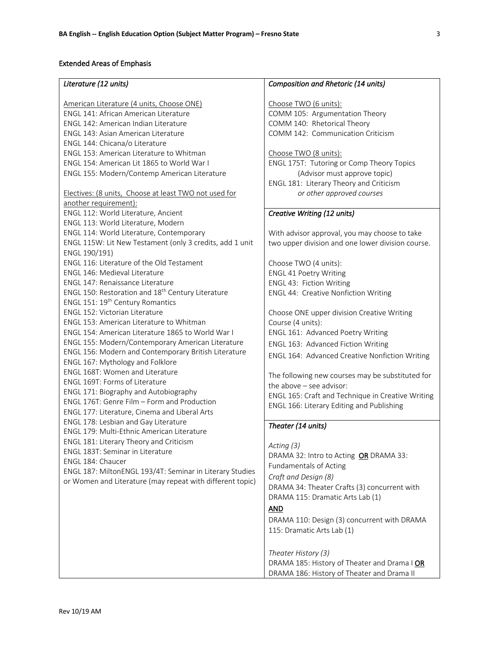### Extended Areas of Emphasis

#### *Literature (12 units)*

American Literature (4 units, Choose ONE) ENGL 141: African American Literature ENGL 142: American Indian Literature ENGL 143: Asian American Literature ENGL 144: Chicana/o Literature ENGL 153: American Literature to Whitman ENGL 154: American Lit 1865 to World War I ENGL 155: Modern/Contemp American Literature Electives: (8 units, Choose at least TWO not used for another requirement): ENGL 112: World Literature, Ancient ENGL 113: World Literature, Modern ENGL 114: World Literature, Contemporary ENGL 115W: Lit New Testament (only 3 credits, add 1 unit ENGL 190/191) ENGL 116: Literature of the Old Testament ENGL 146: Medieval Literature ENGL 147: Renaissance Literature ENGL 150: Restoration and 18th Century Literature ENGL 151: 19th Century Romantics ENGL 152: Victorian Literature ENGL 153: American Literature to Whitman ENGL 154: American Literature 1865 to World War I ENGL 155: Modern/Contemporary American Literature ENGL 156: Modern and Contemporary British Literature ENGL 167: Mythology and Folklore ENGL 168T: Women and Literature ENGL 169T: Forms of Literature ENGL 171: Biography and Autobiography ENGL 176T: Genre Film – Form and Production ENGL 177: Literature, Cinema and Liberal Arts ENGL 178: Lesbian and Gay Literature ENGL 179: Multi-Ethnic American Literature ENGL 181: Literary Theory and Criticism ENGL 183T: Seminar in Literature ENGL 184: Chaucer ENGL 187: MiltonENGL 193/4T: Seminar in Literary Studies or Women and Literature (may repeat with different topic)

#### *Composition and Rhetoric (14 units)*

Choose TWO (6 units): COMM 105: Argumentation Theory COMM 140: Rhetorical Theory COMM 142: Communication Criticism

Choose TWO (8 units): ENGL 175T: Tutoring or Comp Theory Topics (Advisor must approve topic) ENGL 181: Literary Theory and Criticism *or other approved courses*

### *Creative Writing (12 units)*

With advisor approval, you may choose to take two upper division and one lower division course.

Choose TWO (4 units): ENGL 41 Poetry Writing ENGL 43: Fiction Writing ENGL 44: Creative Nonfiction Writing

Choose ONE upper division Creative Writing Course (4 units): ENGL 161: Advanced Poetry Writing ENGL 163: Advanced Fiction Writing ENGL 164: Advanced Creative Nonfiction Writing

The following new courses may be substituted for the above – see advisor: ENGL 165: Craft and Technique in Creative Writing ENGL 166: Literary Editing and Publishing

### *Theater (14 units)*

*Acting (3)*

DRAMA 32: Intro to Acting OR DRAMA 33: Fundamentals of Acting *Craft and Design (8)*

DRAMA 34: Theater Crafts (3) concurrent with DRAMA 115: Dramatic Arts Lab (1)

### AND

DRAMA 110: Design (3) concurrent with DRAMA 115: Dramatic Arts Lab (1)

*Theater History (3)* DRAMA 185: History of Theater and Drama I OR DRAMA 186: History of Theater and Drama II